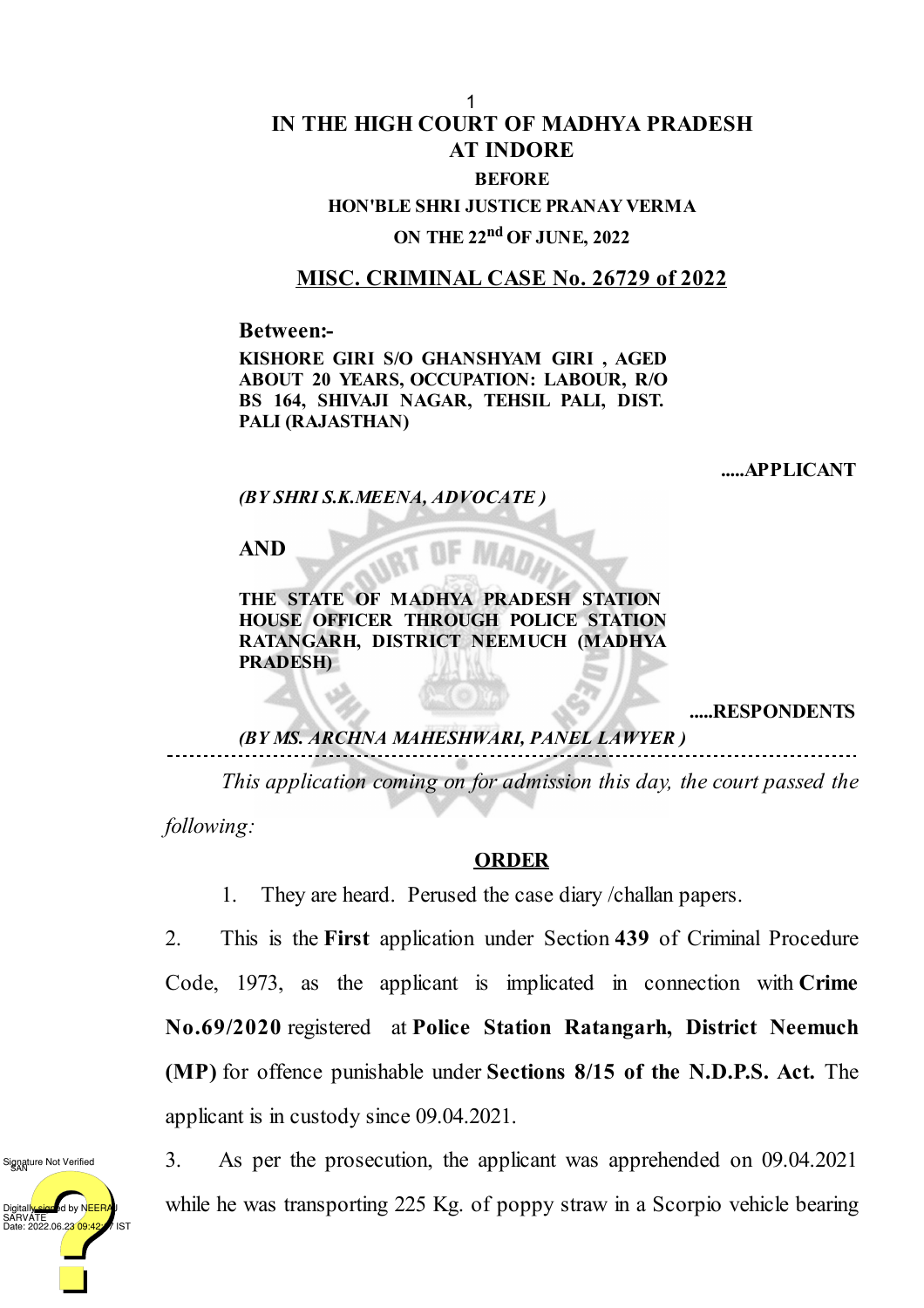## **IN THE HIGH COURT OF MADHYA PRADESH AT INDORE BEFORE HON'BLE SHRI JUSTICE PRANAY VERMA**

**ON THE 22 nd OF JUNE, 2022**

## **MISC. CRIMINAL CASE No. 26729 of 2022**

**Between:-**

**KISHORE GIRI S/O GHANSHYAM GIRI , AGED ABOUT 20 YEARS, OCCUPATION: LABOUR, R/O BS 164, SHIVAJI NAGAR, TEHSIL PALI, DIST. PALI (RAJASTHAN)**

**.....APPLICANT**

*(BY SHRI S.K.MEENA, ADVOCATE )*

**AND**

**THE STATE OF MADHYA PRADESH STATION HOUSE OFFICER THROUGH POLICE STATION RATANGARH, DISTRICT NEEMUCH (MADHYA PRADESH)**

**.....RESPONDENTS**

*(BY MS. ARCHNA MAHESHWARI, PANEL LAWYER )*

*This application coming on for admission this day, the court passed the*

*following:*

## **ORDER**

1. They are heard. Perused the case diary /challan papers.

2. This is the **First** application under Section **439** of Criminal Procedure Code, 1973, as the applicant is implicated in connection with **Crime No.69/2020** registered at **Police Station Ratangarh, District Neemuch (MP)** for offence punishable under **Sections 8/15 of the N.D.P.S. Act.** The applicant is in custody since 09.04.2021.

Digitall<mark>y sign</mark>ed by NEERAJ<br>SARVATE<br>Date: 2022.06.2<mark>3 09:42:</mark> 1/ IST Signature Not Verified

3. As per the prosecution, the applicant was apprehended on 09.04.2021 while he was transporting 225 Kg. of poppy straw in a Scorpio vehicle bearing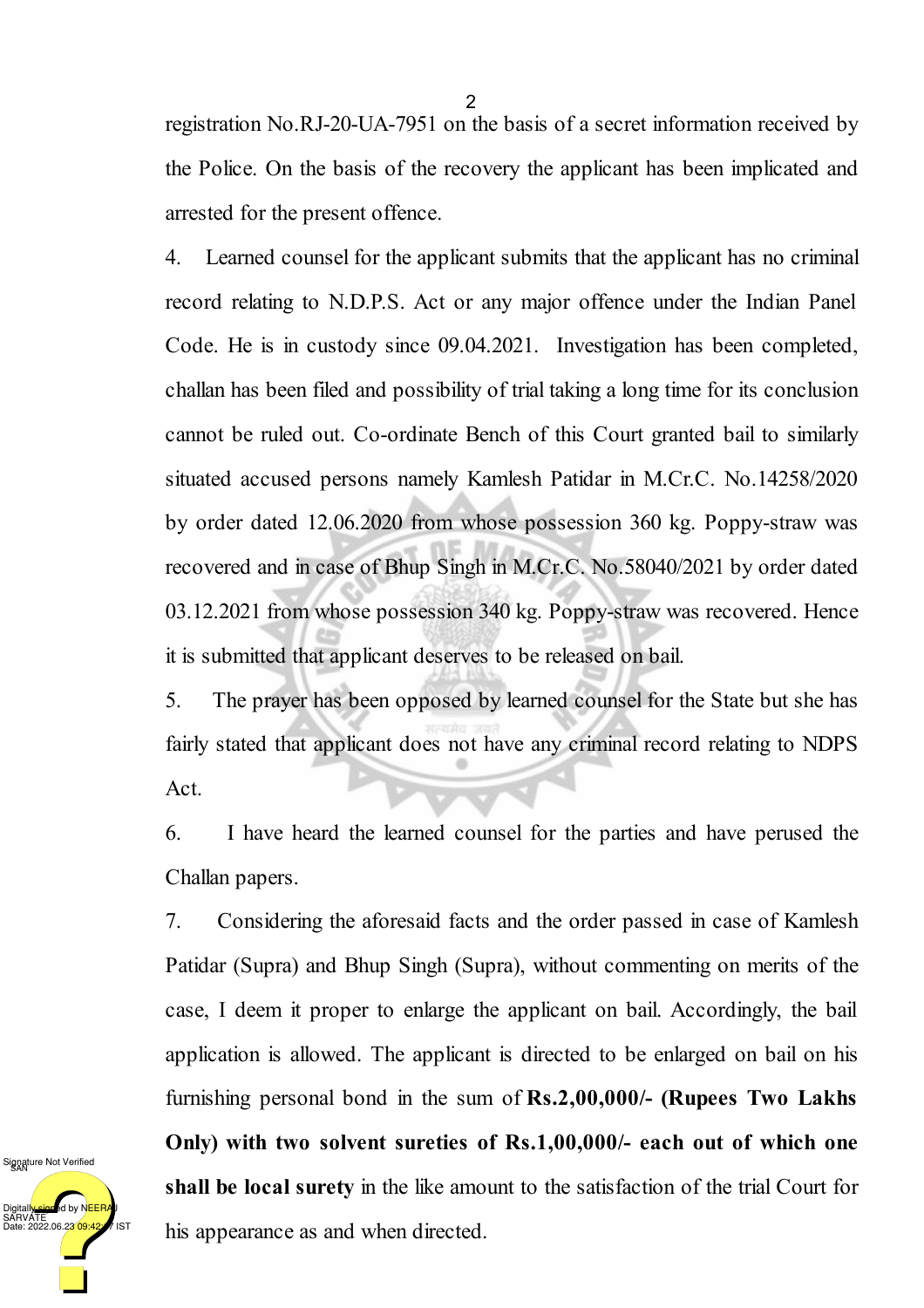registration No.RJ-20-UA-7951 on the basis of a secret information received by the Police. On the basis of the recovery the applicant has been implicated and arrested for the present offence.

4. Learned counsel for the applicant submits that the applicant has no criminal record relating to N.D.P.S. Act or any major offence under the Indian Panel Code. He is in custody since 09.04.2021. Investigation has been completed, challan has been filed and possibility of trial taking a long time for its conclusion cannot be ruled out. Co-ordinate Bench of this Court granted bail to similarly situated accused persons namely Kamlesh Patidar in M.Cr.C. No.14258/2020 by order dated 12.06.2020 from whose possession 360 kg. Poppy-straw was recovered and in case of Bhup Singh in M.Cr.C. No.58040/2021 by order dated 03.12.2021 from whose possession 340 kg. Poppy-straw was recovered. Hence it is submitted that applicant deserves to be released on bail.

5. The prayer has been opposed by learned counsel for the State but she has fairly stated that applicant does not have any criminal record relating to NDPS Act.

6. I have heard the learned counsel for the parties and have perused the Challan papers.

7. Considering the aforesaid facts and the order passed in case of Kamlesh Patidar (Supra) and Bhup Singh (Supra), without commenting on merits of the case, I deem it proper to enlarge the applicant on bail. Accordingly, the bail application is allowed. The applicant is directed to be enlarged on bail on his furnishing personal bond in the sum of **Rs.2,00,000/- (Rupees Two Lakhs Only) with two solvent sureties of Rs.1,00,000/- each out of which one shall be local surety** in the like amount to the satisfaction of the trial Court for his appearance as and when directed.